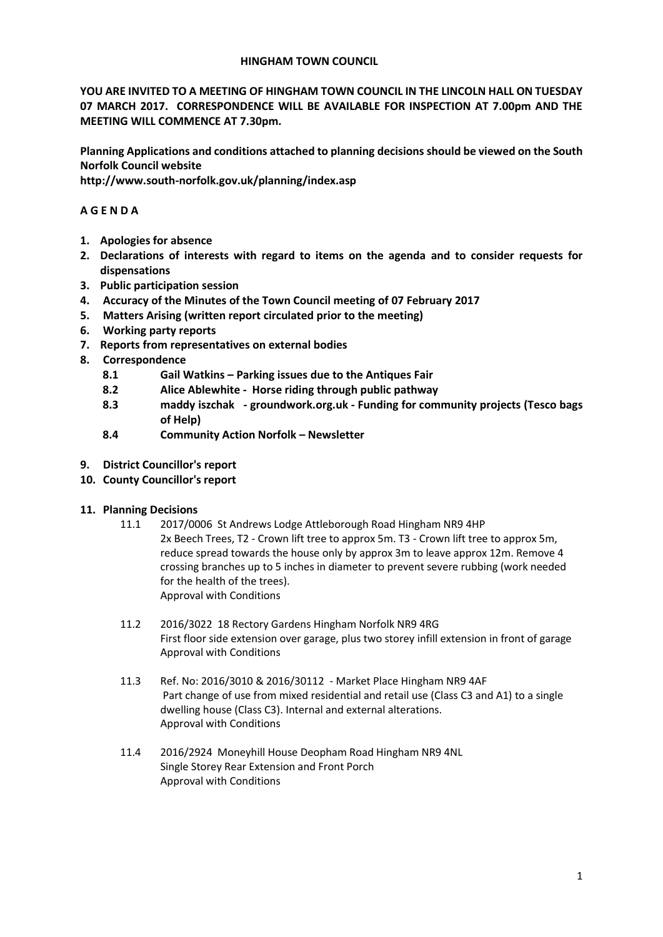#### **HINGHAM TOWN COUNCIL**

**YOU ARE INVITED TO A MEETING OF HINGHAM TOWN COUNCIL IN THE LINCOLN HALL ON TUESDAY 07 MARCH 2017. CORRESPONDENCE WILL BE AVAILABLE FOR INSPECTION AT 7.00pm AND THE MEETING WILL COMMENCE AT 7.30pm.** 

**Planning Applications and conditions attached to planning decisions should be viewed on the South Norfolk Council website** 

**http://www.south-norfolk.gov.uk/planning/index.asp**

## **A G E N D A**

- **1. Apologies for absence**
- **2. Declarations of interests with regard to items on the agenda and to consider requests for dispensations**
- **3. Public participation session**
- **4. Accuracy of the Minutes of the Town Council meeting of 07 February 2017**
- **5. Matters Arising (written report circulated prior to the meeting)**
- **6. Working party reports**
- **7. Reports from representatives on external bodies**
- **8. Correspondence** 
	- **8.1 Gail Watkins – Parking issues due to the Antiques Fair**
	- **8.2 Alice Ablewhite Horse riding through public pathway**
	- **8.3 maddy iszchak - groundwork.org.uk - Funding for community projects (Tesco bags of Help)**
	- **8.4 Community Action Norfolk – Newsletter**
- **9. District Councillor's report**
- **10. County Councillor's report**
- **11. Planning Decisions**
	- 11.1 2017/0006 St Andrews Lodge Attleborough Road Hingham NR9 4HP 2x Beech Trees, T2 - Crown lift tree to approx 5m. T3 - Crown lift tree to approx 5m, reduce spread towards the house only by approx 3m to leave approx 12m. Remove 4 crossing branches up to 5 inches in diameter to prevent severe rubbing (work needed for the health of the trees). Approval with Conditions
	- 11.2 2016/3022 18 Rectory Gardens Hingham Norfolk NR9 4RG First floor side extension over garage, plus two storey infill extension in front of garage Approval with Conditions
	- 11.3 Ref. No: 2016/3010 & 2016/30112 Market Place Hingham NR9 4AF Part change of use from mixed residential and retail use (Class C3 and A1) to a single dwelling house (Class C3). Internal and external alterations. Approval with Conditions
	- 11.4 2016/2924 Moneyhill House Deopham Road Hingham NR9 4NL Single Storey Rear Extension and Front Porch Approval with Conditions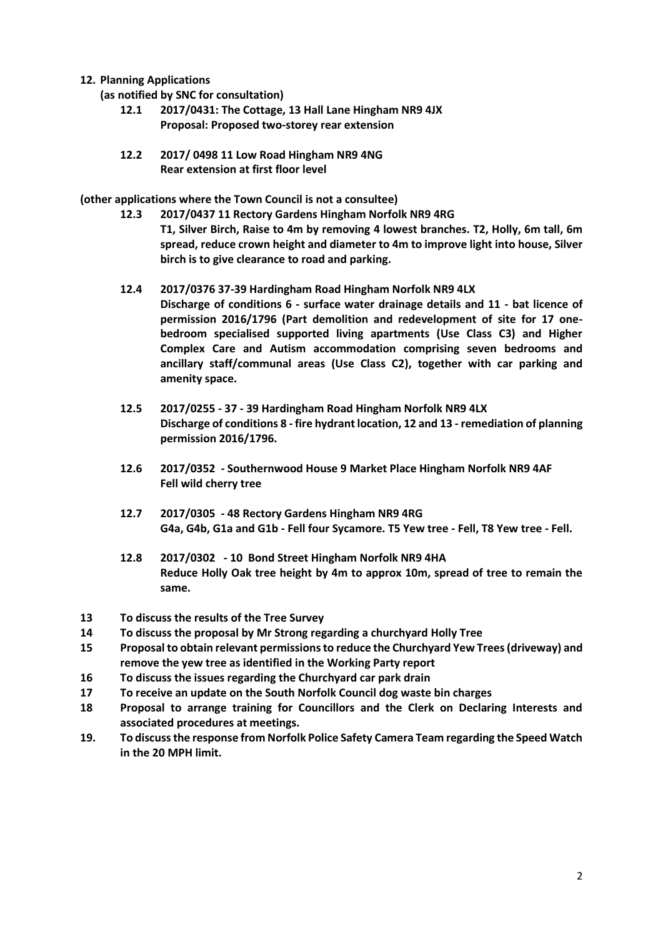### **12. Planning Applications**

**(as notified by SNC for consultation)**

- **12.1 2017/0431: The Cottage, 13 Hall Lane Hingham NR9 4JX Proposal: Proposed two-storey rear extension**
- **12.2 2017/ 0498 11 Low Road Hingham NR9 4NG Rear extension at first floor level**

**(other applications where the Town Council is not a consultee)**

- **12.3 2017/0437 11 Rectory Gardens Hingham Norfolk NR9 4RG T1, Silver Birch, Raise to 4m by removing 4 lowest branches. T2, Holly, 6m tall, 6m spread, reduce crown height and diameter to 4m to improve light into house, Silver birch is to give clearance to road and parking.**
- **12.4 2017/0376 37-39 Hardingham Road Hingham Norfolk NR9 4LX Discharge of conditions 6 - surface water drainage details and 11 - bat licence of permission 2016/1796 (Part demolition and redevelopment of site for 17 onebedroom specialised supported living apartments (Use Class C3) and Higher Complex Care and Autism accommodation comprising seven bedrooms and ancillary staff/communal areas (Use Class C2), together with car parking and amenity space.**
- **12.5 2017/0255 - 37 - 39 Hardingham Road Hingham Norfolk NR9 4LX Discharge of conditions 8 - fire hydrant location, 12 and 13 - remediation of planning permission 2016/1796.**
- **12.6 2017/0352 - Southernwood House 9 Market Place Hingham Norfolk NR9 4AF Fell wild cherry tree**
- **12.7 2017/0305 - 48 Rectory Gardens Hingham NR9 4RG G4a, G4b, G1a and G1b - Fell four Sycamore. T5 Yew tree - Fell, T8 Yew tree - Fell.**
- **12.8 2017/0302 - 10 Bond Street Hingham Norfolk NR9 4HA Reduce Holly Oak tree height by 4m to approx 10m, spread of tree to remain the same.**
- **13 To discuss the results of the Tree Survey**
- **14 To discuss the proposal by Mr Strong regarding a churchyard Holly Tree**
- **15 Proposal to obtain relevant permissionsto reduce the Churchyard Yew Trees(driveway) and remove the yew tree as identified in the Working Party report**
- **16 To discuss the issues regarding the Churchyard car park drain**
- **17 To receive an update on the South Norfolk Council dog waste bin charges**
- **18 Proposal to arrange training for Councillors and the Clerk on Declaring Interests and associated procedures at meetings.**
- **19. To discussthe response from Norfolk Police Safety Camera Team regarding the Speed Watch in the 20 MPH limit.**